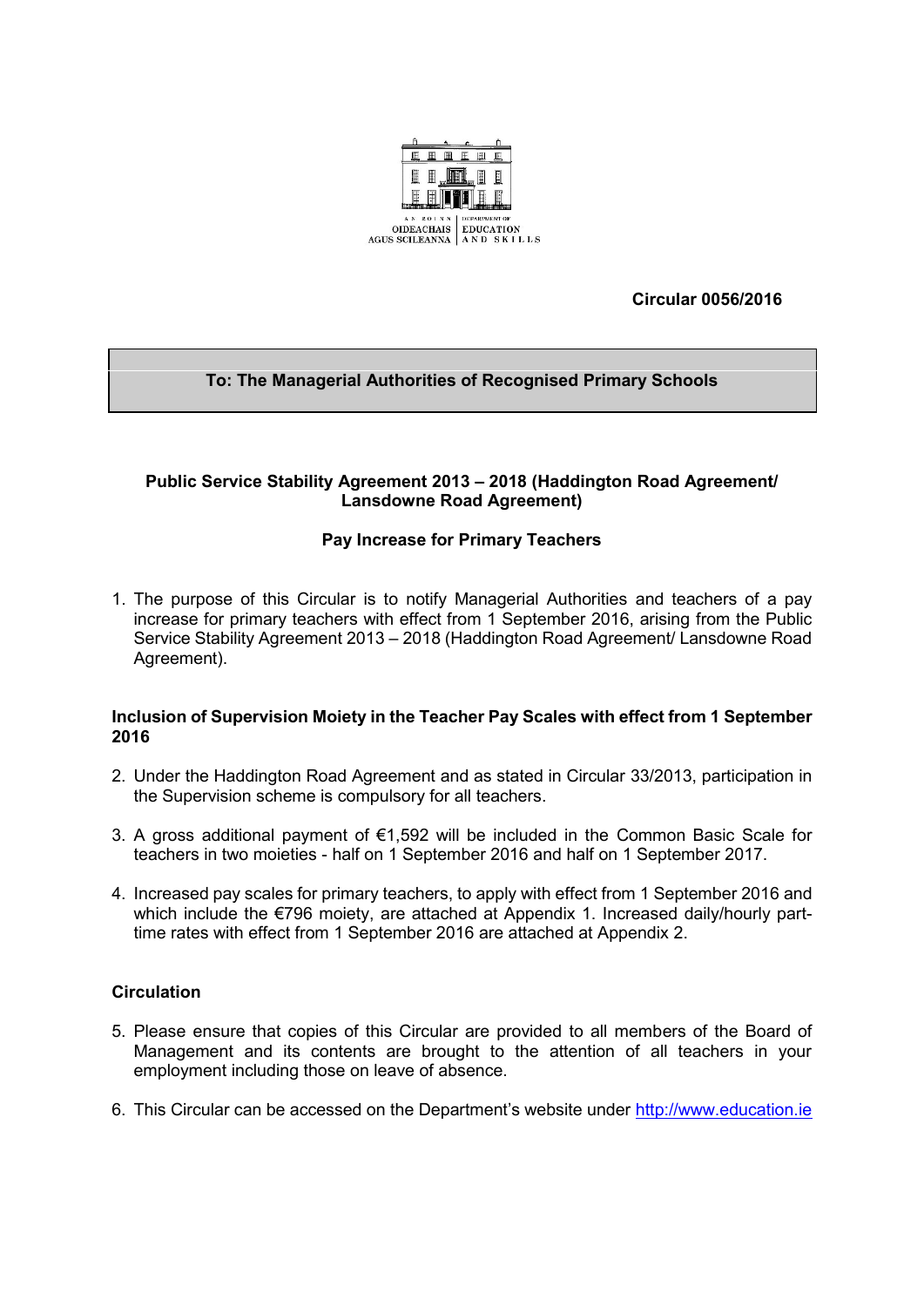

**Circular 0056/2016**

# **To: The Managerial Authorities of Recognised Primary Schools**

## **Public Service Stability Agreement 2013 – 2018 (Haddington Road Agreement/ Lansdowne Road Agreement)**

## **Pay Increase for Primary Teachers**

1. The purpose of this Circular is to notify Managerial Authorities and teachers of a pay increase for primary teachers with effect from 1 September 2016, arising from the Public Service Stability Agreement 2013 – 2018 (Haddington Road Agreement/ Lansdowne Road Agreement).

### **Inclusion of Supervision Moiety in the Teacher Pay Scales with effect from 1 September 2016**

- 2. Under the Haddington Road Agreement and as stated in Circular 33/2013, participation in the Supervision scheme is compulsory for all teachers.
- 3. A gross additional payment of €1,592 will be included in the Common Basic Scale for teachers in two moieties - half on 1 September 2016 and half on 1 September 2017.
- 4. Increased pay scales for primary teachers, to apply with effect from 1 September 2016 and which include the €796 moiety, are attached at Appendix 1. Increased daily/hourly parttime rates with effect from 1 September 2016 are attached at Appendix 2.

## **Circulation**

- 5. Please ensure that copies of this Circular are provided to all members of the Board of Management and its contents are brought to the attention of all teachers in your employment including those on leave of absence.
- 6. This Circular can be accessed on the Department's website under [http://www.education.ie](http://www.education.ie/)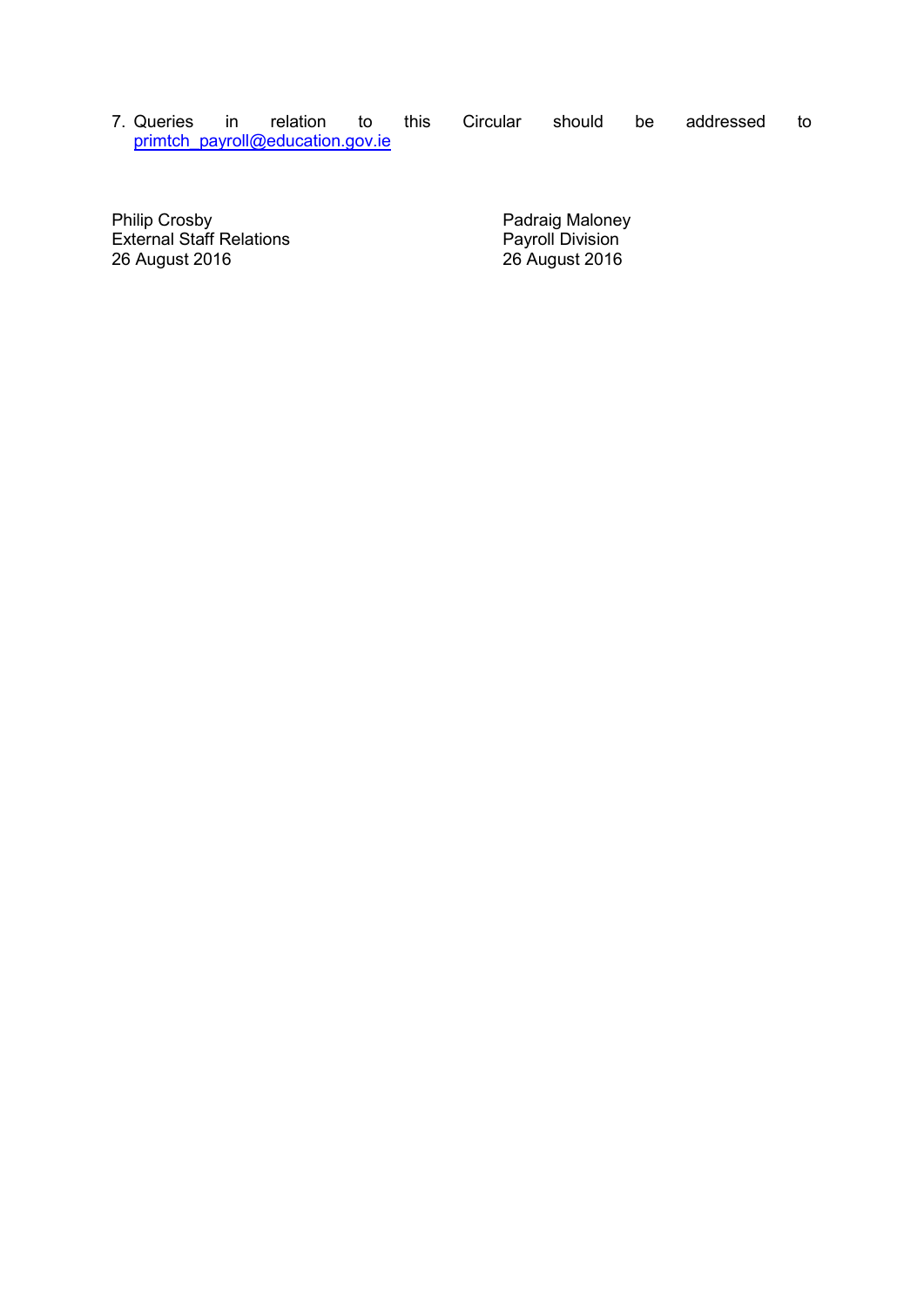7. Queries in relation to this Circular should be addressed to [primtch\\_payroll@education.gov.ie](mailto:primtch_payroll@education.gov.ie)

Philip Crosby **Philip Crosby Padraig Maloney** External Staff Relations **Payroll Division** Philip Crosby<br>
External Staff Relations<br>
26 August 2016<br>
26 August 2016<br>
26 August 2016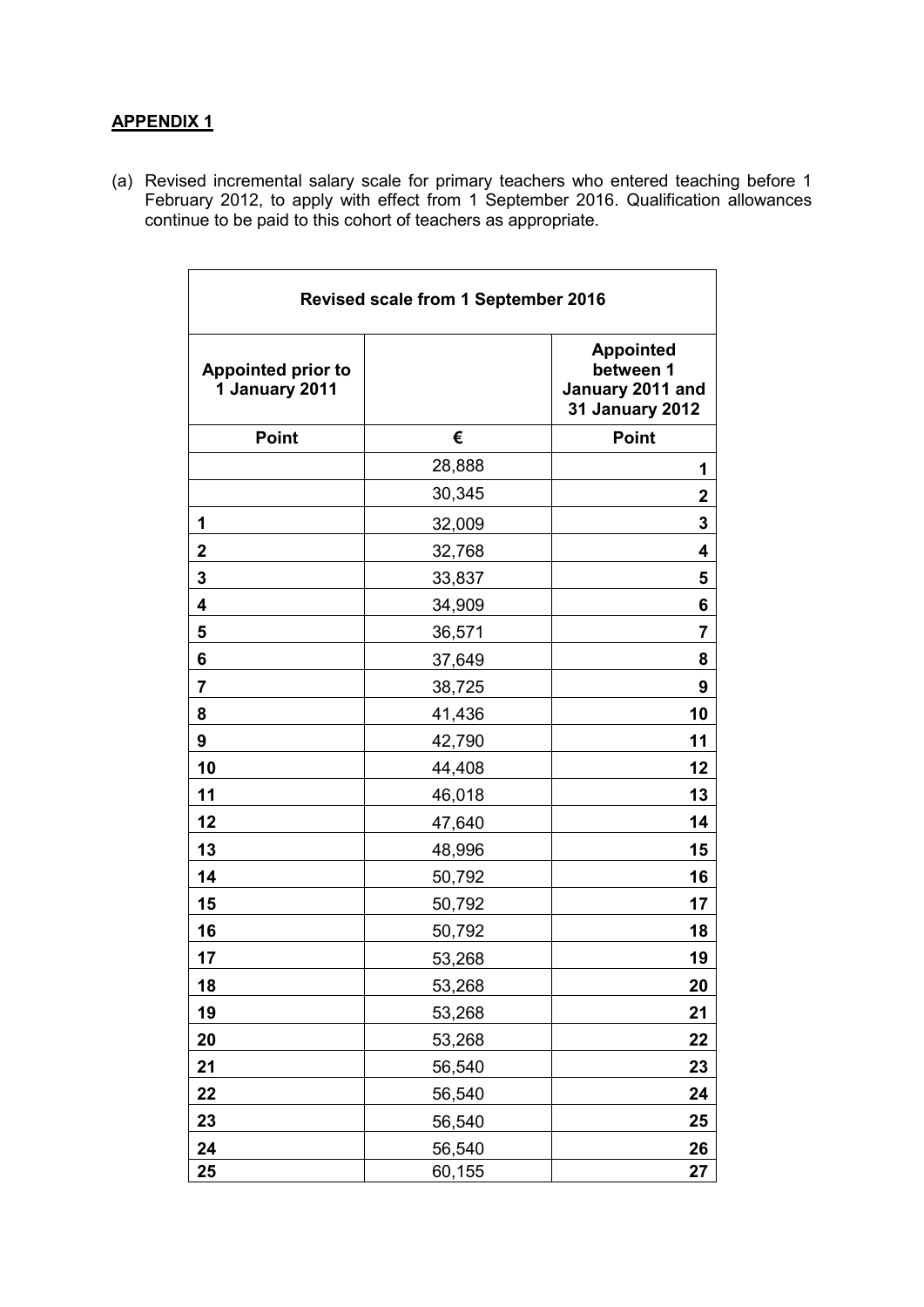# **APPENDIX 1**

(a) Revised incremental salary scale for primary teachers who entered teaching before 1 February 2012, to apply with effect from 1 September 2016. Qualification allowances continue to be paid to this cohort of teachers as appropriate.

| <b>Revised scale from 1 September 2016</b>  |        |                                                                             |  |
|---------------------------------------------|--------|-----------------------------------------------------------------------------|--|
| <b>Appointed prior to</b><br>1 January 2011 |        | <b>Appointed</b><br>between 1<br>January 2011 and<br><b>31 January 2012</b> |  |
| <b>Point</b>                                | €      | <b>Point</b>                                                                |  |
|                                             | 28,888 | 1                                                                           |  |
|                                             | 30,345 | $\mathbf 2$                                                                 |  |
| 1                                           | 32,009 | 3                                                                           |  |
| $\overline{2}$                              | 32,768 | 4                                                                           |  |
| 3                                           | 33,837 | 5                                                                           |  |
| 4                                           | 34,909 | 6                                                                           |  |
| 5                                           | 36,571 | 7                                                                           |  |
| 6                                           | 37,649 | 8                                                                           |  |
| 7                                           | 38,725 | 9                                                                           |  |
| 8                                           | 41,436 | 10                                                                          |  |
| 9                                           | 42,790 | 11                                                                          |  |
| 10                                          | 44,408 | 12                                                                          |  |
| 11                                          | 46,018 | 13                                                                          |  |
| 12                                          | 47,640 | 14                                                                          |  |
| 13                                          | 48,996 | 15                                                                          |  |
| 14                                          | 50,792 | 16                                                                          |  |
| 15                                          | 50,792 | 17                                                                          |  |
| 16                                          | 50,792 | 18                                                                          |  |
| 17                                          | 53,268 | 19                                                                          |  |
| 18                                          | 53,268 | 20                                                                          |  |
| 19                                          | 53,268 | 21                                                                          |  |
| 20                                          | 53,268 | 22                                                                          |  |
| 21                                          | 56,540 | 23                                                                          |  |
| 22                                          | 56,540 | 24                                                                          |  |
| 23                                          | 56,540 | 25                                                                          |  |
| 24                                          | 56,540 | 26                                                                          |  |
| 25                                          | 60,155 | 27                                                                          |  |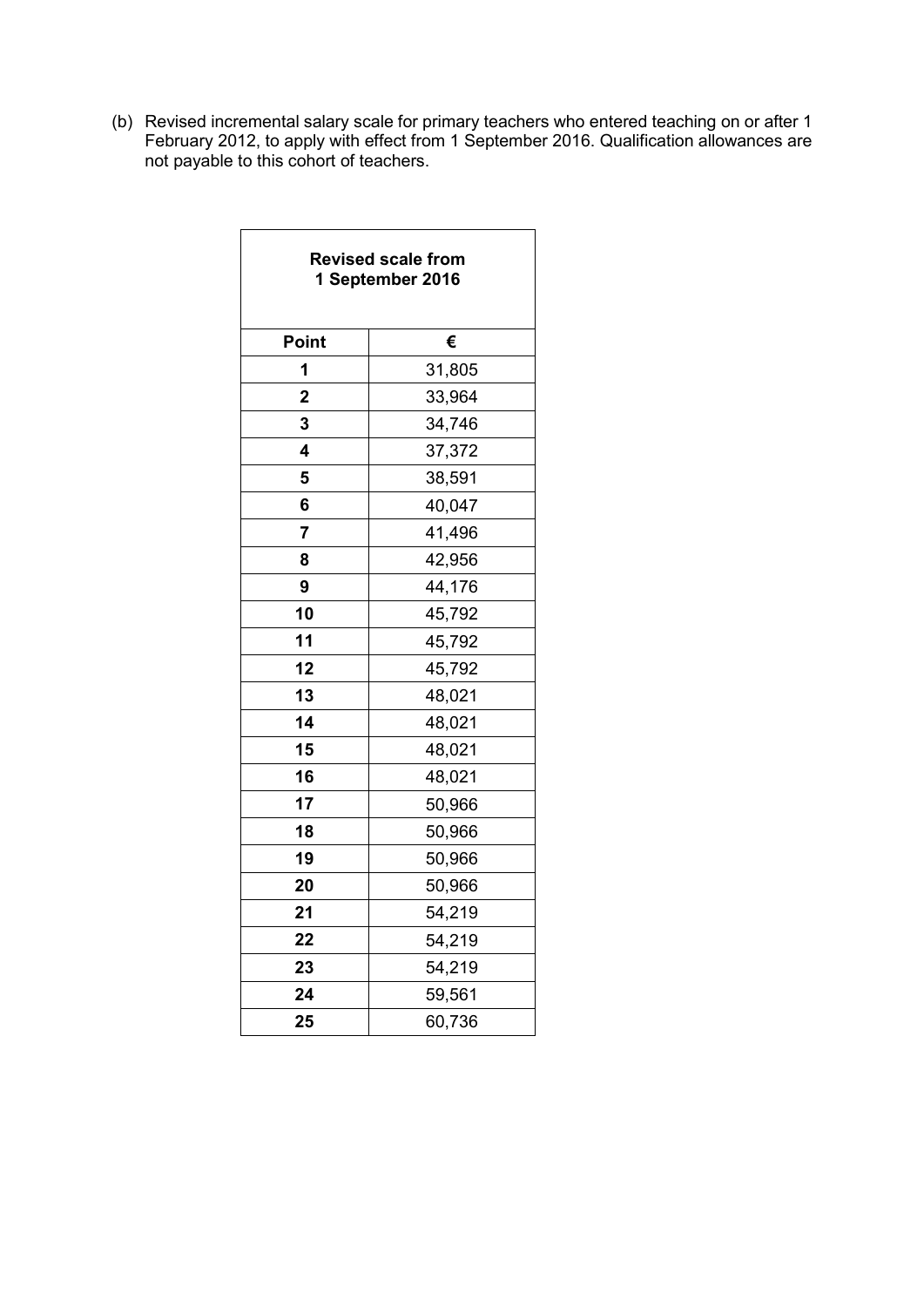(b) Revised incremental salary scale for primary teachers who entered teaching on or after 1 February 2012, to apply with effect from 1 September 2016. Qualification allowances are not payable to this cohort of teachers.

| <b>Revised scale from</b><br>1 September 2016 |        |  |  |
|-----------------------------------------------|--------|--|--|
| <b>Point</b>                                  | €      |  |  |
| 1                                             | 31,805 |  |  |
| $\overline{2}$                                | 33,964 |  |  |
| 3                                             | 34,746 |  |  |
| 4                                             | 37,372 |  |  |
| 5                                             | 38,591 |  |  |
| 6                                             | 40,047 |  |  |
| 7                                             | 41,496 |  |  |
| 8                                             | 42,956 |  |  |
| 9                                             | 44,176 |  |  |
| 10                                            | 45,792 |  |  |
| 11                                            | 45,792 |  |  |
| 12                                            | 45,792 |  |  |
| 13                                            | 48,021 |  |  |
| 14                                            | 48,021 |  |  |
| 15                                            | 48,021 |  |  |
| 16                                            | 48,021 |  |  |
| 17                                            | 50,966 |  |  |
| 18                                            | 50,966 |  |  |
| 19                                            | 50,966 |  |  |
| 20                                            | 50,966 |  |  |
| 21                                            | 54,219 |  |  |
| 22                                            | 54,219 |  |  |
| 23                                            | 54,219 |  |  |
| 24                                            | 59,561 |  |  |
| 25                                            | 60,736 |  |  |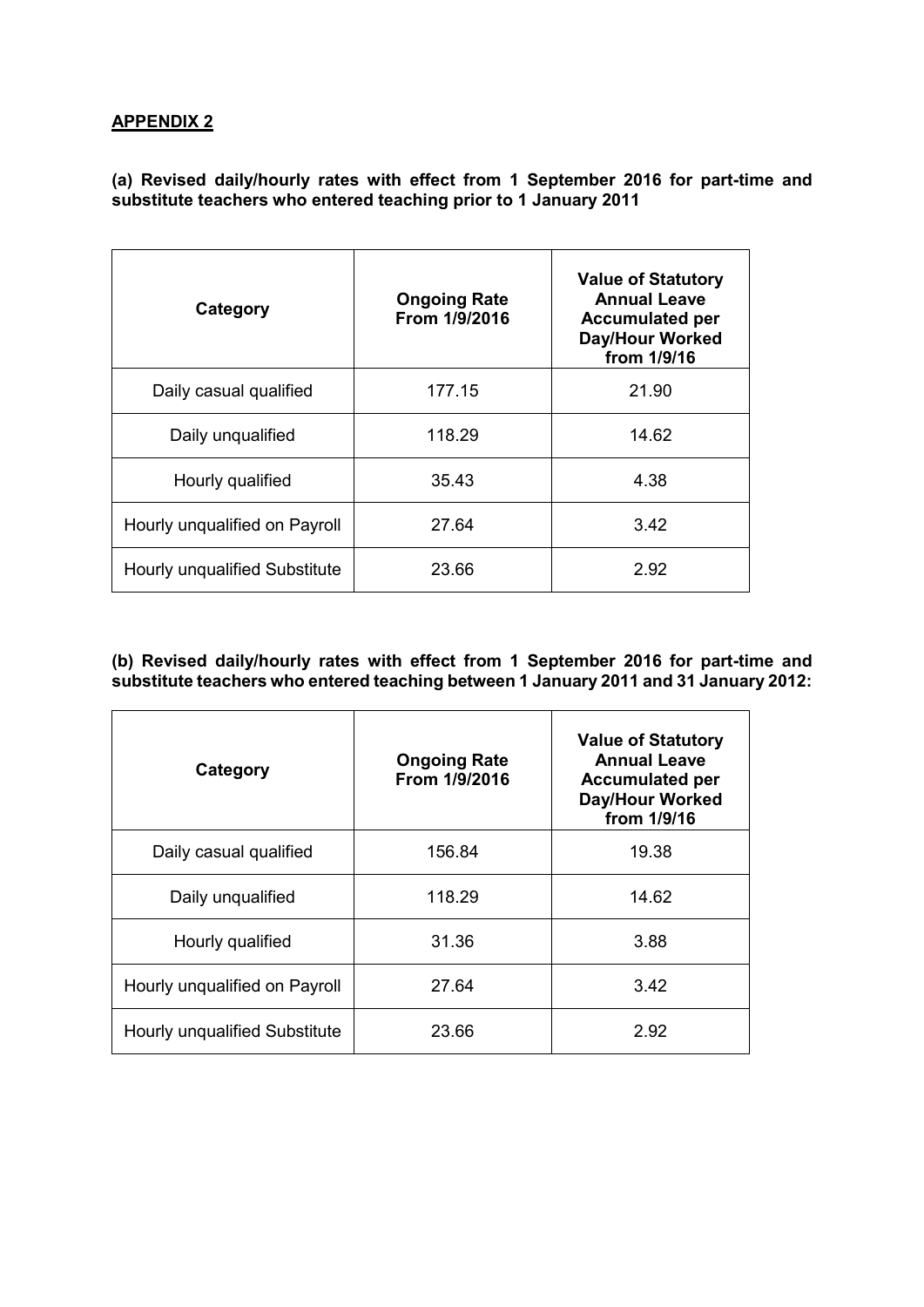# **APPENDIX 2**

**(a) Revised daily/hourly rates with effect from 1 September 2016 for part-time and substitute teachers who entered teaching prior to 1 January 2011**

| Category                      | <b>Ongoing Rate</b><br>From 1/9/2016 | <b>Value of Statutory</b><br><b>Annual Leave</b><br><b>Accumulated per</b><br>Day/Hour Worked<br>from 1/9/16 |
|-------------------------------|--------------------------------------|--------------------------------------------------------------------------------------------------------------|
| Daily casual qualified        | 177.15                               | 21.90                                                                                                        |
| Daily unqualified             | 118.29                               | 14.62                                                                                                        |
| Hourly qualified              | 35.43                                | 4.38                                                                                                         |
| Hourly unqualified on Payroll | 27.64                                | 3.42                                                                                                         |
| Hourly unqualified Substitute | 23.66                                | 2.92                                                                                                         |

### **(b) Revised daily/hourly rates with effect from 1 September 2016 for part-time and substitute teachers who entered teaching between 1 January 2011 and 31 January 2012:**

| Category                      | <b>Ongoing Rate</b><br>From 1/9/2016 | <b>Value of Statutory</b><br><b>Annual Leave</b><br><b>Accumulated per</b><br><b>Day/Hour Worked</b><br>from 1/9/16 |
|-------------------------------|--------------------------------------|---------------------------------------------------------------------------------------------------------------------|
| Daily casual qualified        | 156.84                               | 19.38                                                                                                               |
| Daily unqualified             | 118.29                               | 14.62                                                                                                               |
| Hourly qualified              | 31.36                                | 3.88                                                                                                                |
| Hourly unqualified on Payroll | 27.64                                | 3.42                                                                                                                |
| Hourly unqualified Substitute | 23.66                                | 2.92                                                                                                                |